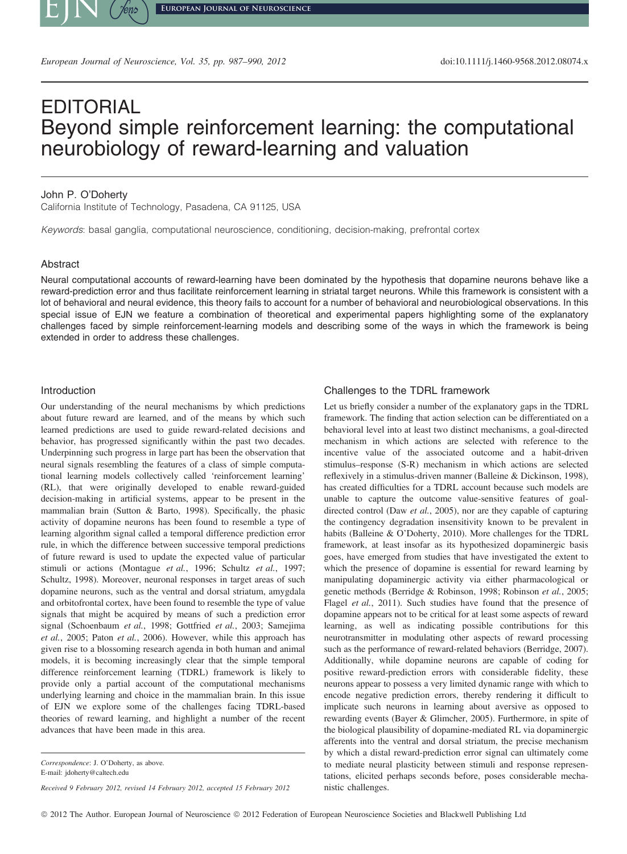

**European Journal of Neuroscience**

European Journal of Neuroscience, Vol. 35, pp. 987–990, 2012 doi:10.1111/j.1460-9568.2012.08074.x

# EDITORIAL Beyond simple reinforcement learning: the computational neurobiology of reward-learning and valuation

## John P. O'Doherty

California Institute of Technology, Pasadena, CA 91125, USA

Keywords: basal ganglia, computational neuroscience, conditioning, decision-making, prefrontal cortex

# Abstract

Neural computational accounts of reward-learning have been dominated by the hypothesis that dopamine neurons behave like a reward-prediction error and thus facilitate reinforcement learning in striatal target neurons. While this framework is consistent with a lot of behavioral and neural evidence, this theory fails to account for a number of behavioral and neurobiological observations. In this special issue of EJN we feature a combination of theoretical and experimental papers highlighting some of the explanatory challenges faced by simple reinforcement-learning models and describing some of the ways in which the framework is being extended in order to address these challenges.

## Introduction

Our understanding of the neural mechanisms by which predictions about future reward are learned, and of the means by which such learned predictions are used to guide reward-related decisions and behavior, has progressed significantly within the past two decades. Underpinning such progress in large part has been the observation that neural signals resembling the features of a class of simple computational learning models collectively called 'reinforcement learning' (RL), that were originally developed to enable reward-guided decision-making in artificial systems, appear to be present in the mammalian brain (Sutton & Barto, 1998). Specifically, the phasic activity of dopamine neurons has been found to resemble a type of learning algorithm signal called a temporal difference prediction error rule, in which the difference between successive temporal predictions of future reward is used to update the expected value of particular stimuli or actions (Montague et al., 1996; Schultz et al., 1997; Schultz, 1998). Moreover, neuronal responses in target areas of such dopamine neurons, such as the ventral and dorsal striatum, amygdala and orbitofrontal cortex, have been found to resemble the type of value signals that might be acquired by means of such a prediction error signal (Schoenbaum et al., 1998; Gottfried et al., 2003; Samejima et al., 2005; Paton et al., 2006). However, while this approach has given rise to a blossoming research agenda in both human and animal models, it is becoming increasingly clear that the simple temporal difference reinforcement learning (TDRL) framework is likely to provide only a partial account of the computational mechanisms underlying learning and choice in the mammalian brain. In this issue of EJN we explore some of the challenges facing TDRL-based theories of reward learning, and highlight a number of the recent advances that have been made in this area.

## Challenges to the TDRL framework

Let us briefly consider a number of the explanatory gaps in the TDRL framework. The finding that action selection can be differentiated on a behavioral level into at least two distinct mechanisms, a goal-directed mechanism in which actions are selected with reference to the incentive value of the associated outcome and a habit-driven stimulus–response (S-R) mechanism in which actions are selected reflexively in a stimulus-driven manner (Balleine & Dickinson, 1998), has created difficulties for a TDRL account because such models are unable to capture the outcome value-sensitive features of goaldirected control (Daw et al., 2005), nor are they capable of capturing the contingency degradation insensitivity known to be prevalent in habits (Balleine & O'Doherty, 2010). More challenges for the TDRL framework, at least insofar as its hypothesized dopaminergic basis goes, have emerged from studies that have investigated the extent to which the presence of dopamine is essential for reward learning by manipulating dopaminergic activity via either pharmacological or genetic methods (Berridge & Robinson, 1998; Robinson et al., 2005; Flagel et al., 2011). Such studies have found that the presence of dopamine appears not to be critical for at least some aspects of reward learning, as well as indicating possible contributions for this neurotransmitter in modulating other aspects of reward processing such as the performance of reward-related behaviors (Berridge, 2007). Additionally, while dopamine neurons are capable of coding for positive reward-prediction errors with considerable fidelity, these neurons appear to possess a very limited dynamic range with which to encode negative prediction errors, thereby rendering it difficult to implicate such neurons in learning about aversive as opposed to rewarding events (Bayer & Glimcher, 2005). Furthermore, in spite of the biological plausibility of dopamine-mediated RL via dopaminergic afferents into the ventral and dorsal striatum, the precise mechanism by which a distal reward-prediction error signal can ultimately come to mediate neural plasticity between stimuli and response representations, elicited perhaps seconds before, poses considerable mechanistic challenges.

Correspondence: J. O'Doherty, as above. E-mail: jdoherty@caltech.edu

Received 9 February 2012, revised 14 February 2012, accepted 15 February 2012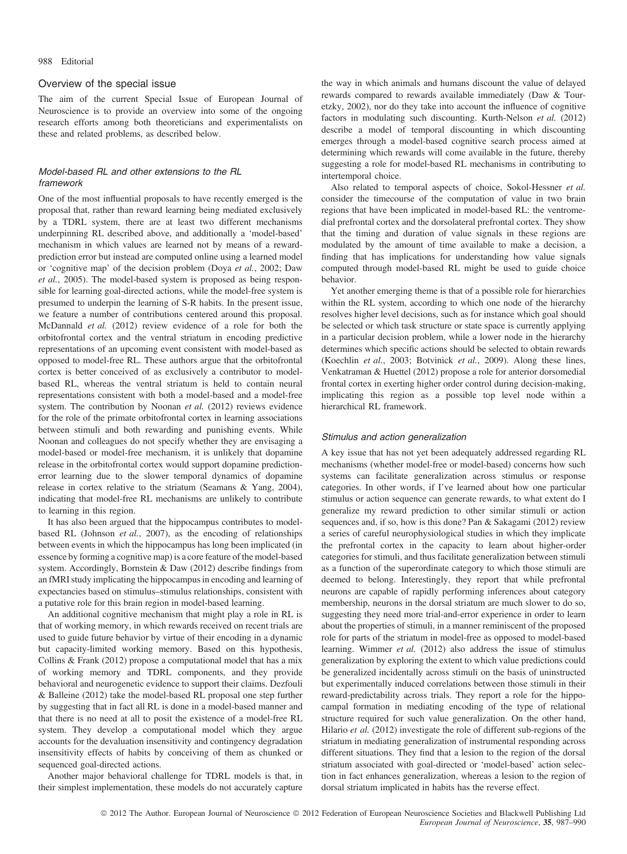## Overview of the special issue

The aim of the current Special Issue of European Journal of Neuroscience is to provide an overview into some of the ongoing research efforts among both theoreticians and experimentalists on these and related problems, as described below.

## Model-based RL and other extensions to the RL framework

One of the most influential proposals to have recently emerged is the proposal that, rather than reward learning being mediated exclusively by a TDRL system, there are at least two different mechanisms underpinning RL described above, and additionally a 'model-based' mechanism in which values are learned not by means of a rewardprediction error but instead are computed online using a learned model or 'cognitive map' of the decision problem (Doya et al., 2002; Daw et al., 2005). The model-based system is proposed as being responsible for learning goal-directed actions, while the model-free system is presumed to underpin the learning of S-R habits. In the present issue, we feature a number of contributions centered around this proposal. McDannald *et al.* (2012) review evidence of a role for both the orbitofrontal cortex and the ventral striatum in encoding predictive representations of an upcoming event consistent with model-based as opposed to model-free RL. These authors argue that the orbitofrontal cortex is better conceived of as exclusively a contributor to modelbased RL, whereas the ventral striatum is held to contain neural representations consistent with both a model-based and a model-free system. The contribution by Noonan et al. (2012) reviews evidence for the role of the primate orbitofrontal cortex in learning associations between stimuli and both rewarding and punishing events. While Noonan and colleagues do not specify whether they are envisaging a model-based or model-free mechanism, it is unlikely that dopamine release in the orbitofrontal cortex would support dopamine predictionerror learning due to the slower temporal dynamics of dopamine release in cortex relative to the striatum (Seamans & Yang, 2004), indicating that model-free RL mechanisms are unlikely to contribute to learning in this region.

It has also been argued that the hippocampus contributes to modelbased RL (Johnson et al., 2007), as the encoding of relationships between events in which the hippocampus has long been implicated (in essence by forming a cognitive map) is a core feature of the model-based system. Accordingly, Bornstein & Daw (2012) describe findings from an fMRI study implicating the hippocampus in encoding and learning of expectancies based on stimulus–stimulus relationships, consistent with a putative role for this brain region in model-based learning.

An additional cognitive mechanism that might play a role in RL is that of working memory, in which rewards received on recent trials are used to guide future behavior by virtue of their encoding in a dynamic but capacity-limited working memory. Based on this hypothesis, Collins & Frank (2012) propose a computational model that has a mix of working memory and TDRL components, and they provide behavioral and neurogenetic evidence to support their claims. Dezfouli & Balleine (2012) take the model-based RL proposal one step further by suggesting that in fact all RL is done in a model-based manner and that there is no need at all to posit the existence of a model-free RL system. They develop a computational model which they argue accounts for the devaluation insensitivity and contingency degradation insensitivity effects of habits by conceiving of them as chunked or sequenced goal-directed actions.

Another major behavioral challenge for TDRL models is that, in their simplest implementation, these models do not accurately capture the way in which animals and humans discount the value of delayed rewards compared to rewards available immediately (Daw & Touretzky, 2002), nor do they take into account the influence of cognitive factors in modulating such discounting. Kurth-Nelson et al. (2012) describe a model of temporal discounting in which discounting emerges through a model-based cognitive search process aimed at determining which rewards will come available in the future, thereby suggesting a role for model-based RL mechanisms in contributing to intertemporal choice.

Also related to temporal aspects of choice, Sokol-Hessner et al. consider the timecourse of the computation of value in two brain regions that have been implicated in model-based RL: the ventromedial prefrontal cortex and the dorsolateral prefrontal cortex. They show that the timing and duration of value signals in these regions are modulated by the amount of time available to make a decision, a finding that has implications for understanding how value signals computed through model-based RL might be used to guide choice behavior.

Yet another emerging theme is that of a possible role for hierarchies within the RL system, according to which one node of the hierarchy resolves higher level decisions, such as for instance which goal should be selected or which task structure or state space is currently applying in a particular decision problem, while a lower node in the hierarchy determines which specific actions should be selected to obtain rewards (Koechlin et al., 2003; Botvinick et al., 2009). Along these lines, Venkatraman & Huettel (2012) propose a role for anterior dorsomedial frontal cortex in exerting higher order control during decision-making, implicating this region as a possible top level node within a hierarchical RL framework.

### Stimulus and action generalization

A key issue that has not yet been adequately addressed regarding RL mechanisms (whether model-free or model-based) concerns how such systems can facilitate generalization across stimulus or response categories. In other words, if I've learned about how one particular stimulus or action sequence can generate rewards, to what extent do I generalize my reward prediction to other similar stimuli or action sequences and, if so, how is this done? Pan & Sakagami (2012) review a series of careful neurophysiological studies in which they implicate the prefrontal cortex in the capacity to learn about higher-order categories for stimuli, and thus facilitate generalization between stimuli as a function of the superordinate category to which those stimuli are deemed to belong. Interestingly, they report that while prefrontal neurons are capable of rapidly performing inferences about category membership, neurons in the dorsal striatum are much slower to do so, suggesting they need more trial-and-error experience in order to learn about the properties of stimuli, in a manner reminiscent of the proposed role for parts of the striatum in model-free as opposed to model-based learning. Wimmer et al. (2012) also address the issue of stimulus generalization by exploring the extent to which value predictions could be generalized incidentally across stimuli on the basis of uninstructed but experimentally induced correlations between those stimuli in their reward-predictability across trials. They report a role for the hippocampal formation in mediating encoding of the type of relational structure required for such value generalization. On the other hand, Hilario et al. (2012) investigate the role of different sub-regions of the striatum in mediating generalization of instrumental responding across different situations. They find that a lesion to the region of the dorsal striatum associated with goal-directed or 'model-based' action selection in fact enhances generalization, whereas a lesion to the region of dorsal striatum implicated in habits has the reverse effect.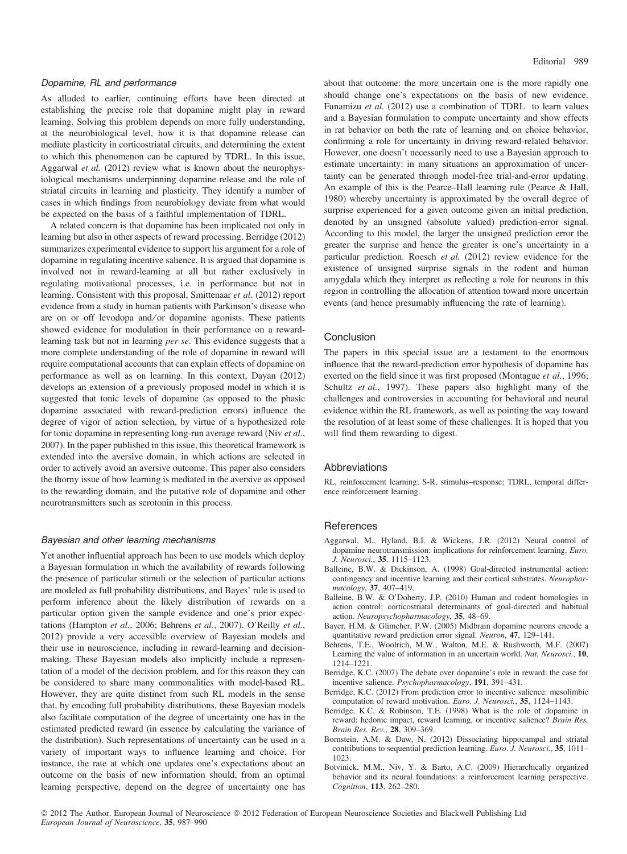## Dopamine, RL and performance

As alluded to earlier, continuing efforts have been directed at establishing the precise role that dopamine might play in reward learning. Solving this problem depends on more fully understanding, at the neurobiological level, how it is that dopamine release can mediate plasticity in corticostriatal circuits, and determining the extent to which this phenomenon can be captured by TDRL. In this issue, Aggarwal et al. (2012) review what is known about the neurophysiological mechanisms underpinning dopamine release and the role of striatal circuits in learning and plasticity. They identify a number of cases in which findings from neurobiology deviate from what would be expected on the basis of a faithful implementation of TDRL.

A related concern is that dopamine has been implicated not only in learning but also in other aspects of reward processing. Berridge (2012) summarizes experimental evidence to support his argument for a role of dopamine in regulating incentive salience. It is argued that dopamine is involved not in reward-learning at all but rather exclusively in regulating motivational processes, i.e. in performance but not in learning. Consistent with this proposal, Smittenaar et al. (2012) report evidence from a study in human patients with Parkinson's disease who are on or off levodopa and/or dopamine agonists. These patients showed evidence for modulation in their performance on a rewardlearning task but not in learning per se. This evidence suggests that a more complete understanding of the role of dopamine in reward will require computational accounts that can explain effects of dopamine on performance as well as on learning. In this context, Dayan (2012) develops an extension of a previously proposed model in which it is suggested that tonic levels of dopamine (as opposed to the phasic dopamine associated with reward-prediction errors) influence the degree of vigor of action selection, by virtue of a hypothesized role for tonic dopamine in representing long-run average reward (Niv et al., 2007). In the paper published in this issue, this theoretical framework is extended into the aversive domain, in which actions are selected in order to actively avoid an aversive outcome. This paper also considers the thorny issue of how learning is mediated in the aversive as opposed to the rewarding domain, and the putative role of dopamine and other neurotransmitters such as serotonin in this process.

#### Bayesian and other learning mechanisms

Yet another influential approach has been to use models which deploy a Bayesian formulation in which the availability of rewards following the presence of particular stimuli or the selection of particular actions are modeled as full probability distributions, and Bayes' rule is used to perform inference about the likely distribution of rewards on a particular option given the sample evidence and one's prior expectations (Hampton et al., 2006; Behrens et al., 2007). O'Reilly et al., 2012) provide a very accessible overview of Bayesian models and their use in neuroscience, including in reward-learning and decisionmaking. These Bayesian models also implicitly include a representation of a model of the decision problem, and for this reason they can be considered to share many commonalities with model-based RL. However, they are quite distinct from such RL models in the sense that, by encoding full probability distributions, these Bayesian models also facilitate computation of the degree of uncertainty one has in the estimated predicted reward (in essence by calculating the variance of the distribution). Such representations of uncertainty can be used in a variety of important ways to influence learning and choice. For instance, the rate at which one updates one's expectations about an outcome on the basis of new information should, from an optimal learning perspective, depend on the degree of uncertainty one has about that outcome: the more uncertain one is the more rapidly one should change one's expectations on the basis of new evidence. Funamizu et al. (2012) use a combination of TDRL to learn values and a Bayesian formulation to compute uncertainty and show effects in rat behavior on both the rate of learning and on choice behavior, confirming a role for uncertainty in driving reward-related behavior. However, one doesn't necessarily need to use a Bayesian approach to estimate uncertainty: in many situations an approximation of uncertainty can be generated through model-free trial-and-error updating. An example of this is the Pearce–Hall learning rule (Pearce & Hall, 1980) whereby uncertainty is approximated by the overall degree of surprise experienced for a given outcome given an initial prediction, denoted by an unsigned (absolute valued) prediction-error signal. According to this model, the larger the unsigned prediction error the greater the surprise and hence the greater is one's uncertainty in a particular prediction. Roesch et al. (2012) review evidence for the existence of unsigned surprise signals in the rodent and human amygdala which they interpret as reflecting a role for neurons in this region in controlling the allocation of attention toward more uncertain events (and hence presumably influencing the rate of learning).

## Conclusion

The papers in this special issue are a testament to the enormous influence that the reward-prediction error hypothesis of dopamine has exerted on the field since it was first proposed (Montague et al., 1996; Schultz et al., 1997). These papers also highlight many of the challenges and controversies in accounting for behavioral and neural evidence within the RL framework, as well as pointing the way toward the resolution of at least some of these challenges. It is hoped that you will find them rewarding to digest.

## Abbreviations

RL, reinforcement learning; S-R, stimulus–response; TDRL, temporal difference reinforcement learning.

#### References

- Aggarwal, M., Hyland, B.I. & Wickens, J.R. (2012) Neural control of dopamine neurotransmission: implications for reinforcement learning. Euro. J. Neurosci., 35, 1115–1123.
- Balleine, B.W. & Dickinson, A. (1998) Goal-directed instrumental action: contingency and incentive learning and their cortical substrates. Neuropharmacology, 37, 407–419.
- Balleine, B.W. & O'Doherty, J.P. (2010) Human and rodent homologies in action control: corticostriatal determinants of goal-directed and habitual action. Neuropsychopharmacology, 35, 48–69.
- Bayer, H.M. & Glimcher, P.W. (2005) Midbrain dopamine neurons encode a quantitative reward prediction error signal. Neuron, 47, 129–141.
- Behrens, T.E., Woolrich, M.W., Walton, M.E. & Rushworth, M.F. (2007) Learning the value of information in an uncertain world. Nat. Neurosci., 10, 1214–1221.
- Berridge, K.C. (2007) The debate over dopamine's role in reward: the case for incentive salience. Psychopharmacology, 191, 391–431.
- Berridge, K.C. (2012) From prediction error to incentive salience: mesolimbic computation of reward motivation. Euro. J. Neurosci., 35, 1124–1143.
- Berridge, K.C. & Robinson, T.E. (1998) What is the role of dopamine in reward: hedonic impact, reward learning, or incentive salience? Brain Res. Brain Res. Rev., 28, 309–369.
- Bornstein, A.M. & Daw, N. (2012) Dissociating hippocampal and striatal contributions to sequential prediction learning. Euro. J. Neurosci., 35, 1011– 1023.
- Botvinick, M.M., Niv, Y. & Barto, A.C. (2009) Hierarchically organized behavior and its neural foundations: a reinforcement learning perspective. Cognition, 113, 262–280.